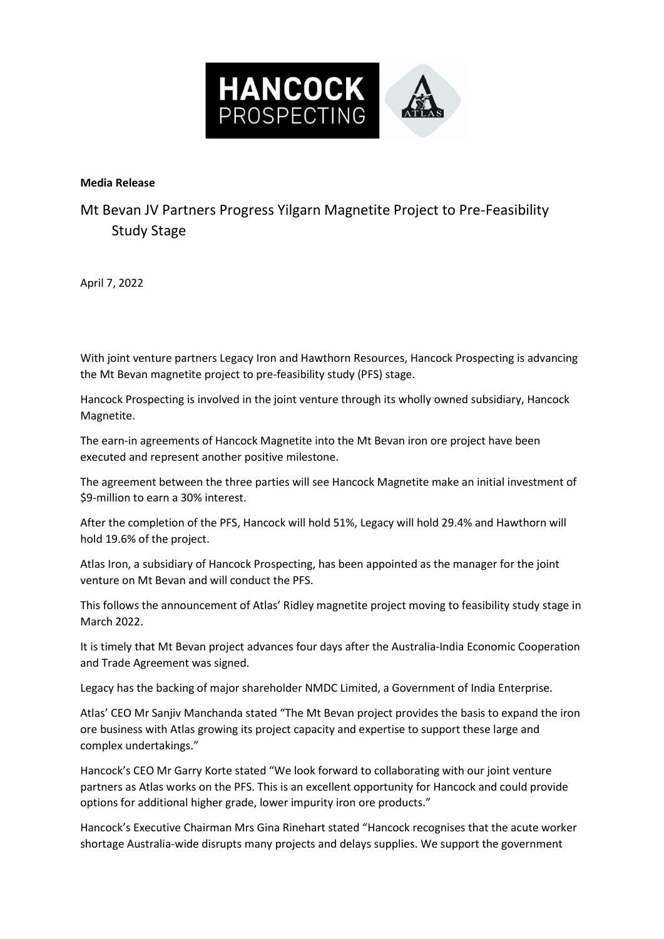

## Media Release

Mt Bevan JV Partners Progress Yilgarn Magnetite Project to Pre-Feasibility Study Stage

April 7, 2022

With joint venture partners Legacy Iron and Hawthorn Resources, Hancock Prospecting is advancing the Mt Bevan magnetite project to pre-feasibility study (PFS) stage.

Hancock Prospecting is involved in the joint venture through its wholly owned subsidiary, Hancock Magnetite.

The earn-in agreements of Hancock Magnetite into the Mt Bevan iron ore project have been executed and represent another positive milestone.

The agreement between the three parties will see Hancock Magnetite make an initial investment of \$9-million to earn a 30% interest.

After the completion of the PFS, Hancock will hold 51%, Legacy will hold 29.4% and Hawthorn will hold 19.6% of the project.

Atlas Iron, a subsidiary of Hancock Prospecting, has been appointed as the manager for the joint venture on Mt Bevan and will conduct the PFS.

This follows the announcement of Atlas' Ridley magnetite project moving to feasibility study stage in March 2022.

It is timely that Mt Bevan project advances four days after the Australia-India Economic Cooperation and Trade Agreement was signed.

Legacy has the backing of major shareholder NMDC Limited, a Government of India Enterprise.

Atlas' CEO Mr Sanjiv Manchanda stated "The Mt Bevan project provides the basis to expand the iron ore business with Atlas growing its project capacity and expertise to support these large and complex undertakings."

Hancock's CEO Mr Garry Korte stated "We look forward to collaborating with our joint venture partners as Atlas works on the PFS. This is an excellent opportunity for Hancock and could provide options for additional higher grade, lower impurity iron ore products."

Hancock's Executive Chairman Mrs Gina Rinehart stated "Hancock recognises that the acute worker shortage Australia-wide disrupts many projects and delays supplies. We support the government